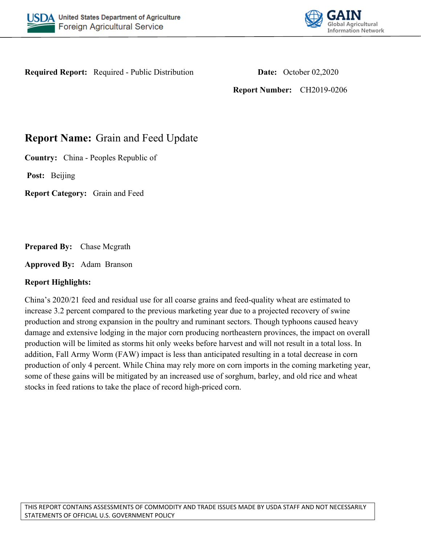



**Required Report:** Required - Public Distribution **Date:** October 02,2020

**Report Number:** CH2019-0206

# **Report Name:** Grain and Feed Update

**Country:** China - Peoples Republic of

**Post:** Beijing

**Report Category:** Grain and Feed

**Prepared By:** Chase Mcgrath

**Approved By:** Adam Branson

### **Report Highlights:**

China's 2020/21 feed and residual use for all coarse grains and feed-quality wheat are estimated to increase 3.2 percent compared to the previous marketing year due to a projected recovery of swine production and strong expansion in the poultry and ruminant sectors. Though typhoons caused heavy damage and extensive lodging in the major corn producing northeastern provinces, the impact on overall production will be limited as storms hit only weeks before harvest and will not result in a total loss. In addition, Fall Army Worm (FAW) impact is less than anticipated resulting in a total decrease in corn production of only 4 percent. While China may rely more on corn imports in the coming marketing year, some of these gains will be mitigated by an increased use of sorghum, barley, and old rice and wheat stocks in feed rations to take the place of record high-priced corn.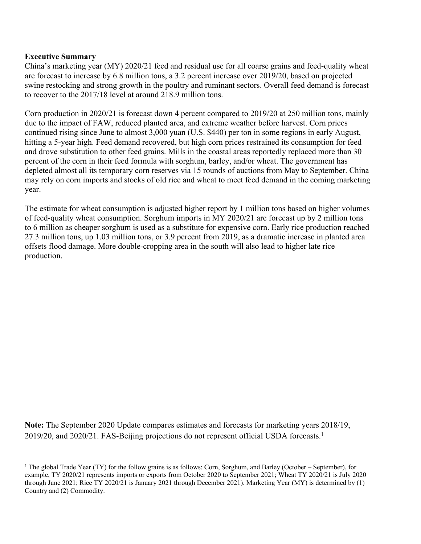### **Executive Summary**

China's marketing year (MY) 2020/21 feed and residual use for all coarse grains and feed-quality wheat are forecast to increase by 6.8 million tons, a 3.2 percent increase over 2019/20, based on projected swine restocking and strong growth in the poultry and ruminant sectors. Overall feed demand is forecast to recover to the 2017/18 level at around 218.9 million tons.

Corn production in 2020/21 is forecast down 4 percent compared to 2019/20 at 250 million tons, mainly due to the impact of FAW, reduced planted area, and extreme weather before harvest. Corn prices continued rising since June to almost 3,000 yuan (U.S. \$440) per ton in some regions in early August, hitting a 5-year high. Feed demand recovered, but high corn prices restrained its consumption for feed and drove substitution to other feed grains. Mills in the coastal areas reportedly replaced more than 30 percent of the corn in their feed formula with sorghum, barley, and/or wheat. The government has depleted almost all its temporary corn reserves via 15 rounds of auctions from May to September. China may rely on corn imports and stocks of old rice and wheat to meet feed demand in the coming marketing year.

The estimate for wheat consumption is adjusted higher report by 1 million tons based on higher volumes of feed-quality wheat consumption. Sorghum imports in MY 2020/21 are forecast up by 2 million tons to 6 million as cheaper sorghum is used as a substitute for expensive corn. Early rice production reached 27.3 million tons, up 1.03 million tons, or 3.9 percent from 2019, as a dramatic increase in planted area offsets flood damage. More double-cropping area in the south will also lead to higher late rice production.

**Note:** The September 2020 Update compares estimates and forecasts for marketing years 2018/19, 2019/20, and 2020/21. FAS-Beijing projections do not represent official USDA forecasts.<sup>1</sup>

<sup>&</sup>lt;sup>1</sup> The global Trade Year (TY) for the follow grains is as follows: Corn, Sorghum, and Barley (October – September), for example, TY 2020/21 represents imports or exports from October 2020 to September 2021; Wheat TY 2020/21 is July 2020 through June 2021; Rice TY 2020/21 is January 2021 through December 2021). Marketing Year (MY) is determined by (1) Country and (2) Commodity.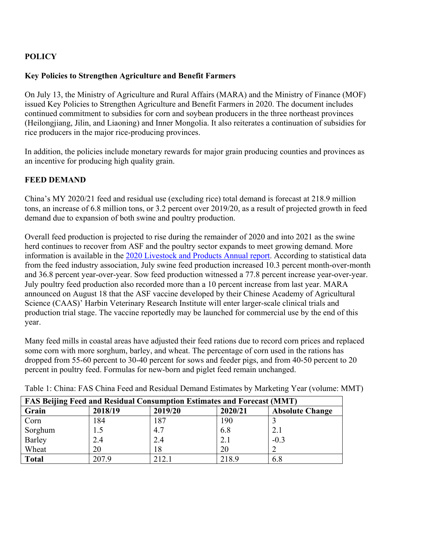# **POLICY**

### **Key Policies to Strengthen Agriculture and Benefit Farmers**

On July 13, the Ministry of Agriculture and Rural Affairs (MARA) and the Ministry of Finance (MOF) issued Key Policies to Strengthen Agriculture and Benefit Farmers in 2020. The document includes continued commitment to subsidies for corn and soybean producers in the three northeast provinces (Heilongjiang, Jilin, and Liaoning) and Inner Mongolia. It also reiterates a continuation of subsidies for rice producers in the major rice-producing provinces.

In addition, the policies include monetary rewards for major grain producing counties and provinces as an incentive for producing high quality grain.

### **FEED DEMAND**

China's MY 2020/21 feed and residual use (excluding rice) total demand is forecast at 218.9 million tons, an increase of 6.8 million tons, or 3.2 percent over 2019/20, as a result of projected growth in feed demand due to expansion of both swine and poultry production.

Overall feed production is projected to rise during the remainder of 2020 and into 2021 as the swine herd continues to recover from ASF and the poultry sector expands to meet growing demand. More information is available in the [2020 Livestock and Products Annual report.](https://www.fas.usda.gov/data/china-livestock-and-products-annual-4) According to statistical data from the feed industry association, July swine feed production increased 10.3 percent month-over-month and 36.8 percent year-over-year. Sow feed production witnessed a 77.8 percent increase year-over-year. July poultry feed production also recorded more than a 10 percent increase from last year. MARA announced on August 18 that the ASF vaccine developed by their Chinese Academy of Agricultural Science (CAAS)' Harbin Veterinary Research Institute will enter larger-scale clinical trials and production trial stage. The vaccine reportedly may be launched for commercial use by the end of this year.

Many feed mills in coastal areas have adjusted their feed rations due to record corn prices and replaced some corn with more sorghum, barley, and wheat. The percentage of corn used in the rations has dropped from 55-60 percent to 30-40 percent for sows and feeder pigs, and from 40-50 percent to 20 percent in poultry feed. Formulas for new-born and piglet feed remain unchanged.

| <b>FAS Beijing Feed and Residual Consumption Estimates and Forecast (MMT)</b> |         |         |         |                        |  |  |  |
|-------------------------------------------------------------------------------|---------|---------|---------|------------------------|--|--|--|
| Grain                                                                         | 2018/19 | 2019/20 | 2020/21 | <b>Absolute Change</b> |  |  |  |
| Corn                                                                          | 184     | 187     | 190     |                        |  |  |  |
| Sorghum                                                                       | 1.5     | 4.7     | 6.8     | 2.1                    |  |  |  |
| Barley                                                                        | 2.4     | 2.4     | 2.1     | $-0.3$                 |  |  |  |
| Wheat                                                                         | 20      | 18      | 20      |                        |  |  |  |
| <b>Total</b>                                                                  | 207.9   | 212.1   | 218.9   | 6.8                    |  |  |  |

Table 1: China: FAS China Feed and Residual Demand Estimates by Marketing Year (volume: MMT)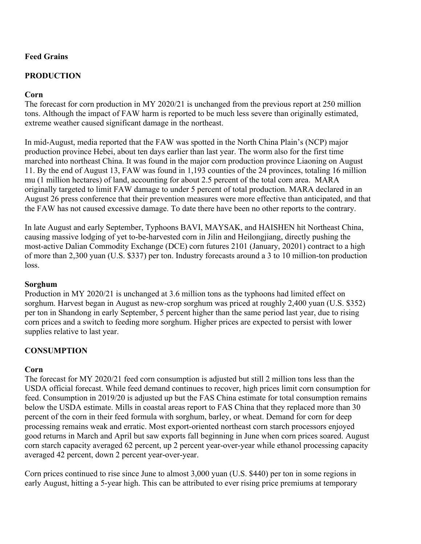# **Feed Grains**

# **PRODUCTION**

### **Corn**

The forecast for corn production in MY 2020/21 is unchanged from the previous report at 250 million tons. Although the impact of FAW harm is reported to be much less severe than originally estimated, extreme weather caused significant damage in the northeast.

In mid-August, media reported that the FAW was spotted in the North China Plain's (NCP) major production province Hebei, about ten days earlier than last year. The worm also for the first time marched into northeast China. It was found in the major corn production province Liaoning on August 11. By the end of August 13, FAW was found in 1,193 counties of the 24 provinces, totaling 16 million mu (1 million hectares) of land, accounting for about 2.5 percent of the total corn area. MARA originally targeted to limit FAW damage to under 5 percent of total production. MARA declared in an August 26 press conference that their prevention measures were more effective than anticipated, and that the FAW has not caused excessive damage. To date there have been no other reports to the contrary.

In late August and early September, Typhoons BAVI, MAYSAK, and HAISHEN hit Northeast China, causing massive lodging of yet to-be-harvested corn in Jilin and Heilongjiang, directly pushing the most-active Dalian Commodity Exchange (DCE) corn futures 2101 (January, 20201) contract to a high of more than 2,300 yuan (U.S. \$337) per ton. Industry forecasts around a 3 to 10 million-ton production loss.

### **Sorghum**

Production in MY 2020/21 is unchanged at 3.6 million tons as the typhoons had limited effect on sorghum. Harvest began in August as new-crop sorghum was priced at roughly 2,400 yuan (U.S. \$352) per ton in Shandong in early September, 5 percent higher than the same period last year, due to rising corn prices and a switch to feeding more sorghum. Higher prices are expected to persist with lower supplies relative to last year.

### **CONSUMPTION**

### **Corn**

The forecast for MY 2020/21 feed corn consumption is adjusted but still 2 million tons less than the USDA official forecast. While feed demand continues to recover, high prices limit corn consumption for feed. Consumption in 2019/20 is adjusted up but the FAS China estimate for total consumption remains below the USDA estimate. Mills in coastal areas report to FAS China that they replaced more than 30 percent of the corn in their feed formula with sorghum, barley, or wheat. Demand for corn for deep processing remains weak and erratic. Most export-oriented northeast corn starch processors enjoyed good returns in March and April but saw exports fall beginning in June when corn prices soared. August corn starch capacity averaged 62 percent, up 2 percent year-over-year while ethanol processing capacity averaged 42 percent, down 2 percent year-over-year.

Corn prices continued to rise since June to almost 3,000 yuan (U.S. \$440) per ton in some regions in early August, hitting a 5-year high. This can be attributed to ever rising price premiums at temporary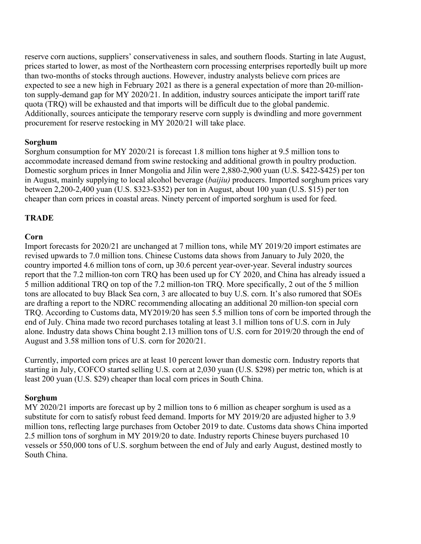reserve corn auctions, suppliers' conservativeness in sales, and southern floods. Starting in late August, prices started to lower, as most of the Northeastern corn processing enterprises reportedly built up more than two-months of stocks through auctions. However, industry analysts believe corn prices are expected to see a new high in February 2021 as there is a general expectation of more than 20-millionton supply-demand gap for MY 2020/21. In addition, industry sources anticipate the import tariff rate quota (TRQ) will be exhausted and that imports will be difficult due to the global pandemic. Additionally, sources anticipate the temporary reserve corn supply is dwindling and more government procurement for reserve restocking in MY 2020/21 will take place.

### **Sorghum**

Sorghum consumption for MY 2020/21 is forecast 1.8 million tons higher at 9.5 million tons to accommodate increased demand from swine restocking and additional growth in poultry production. Domestic sorghum prices in Inner Mongolia and Jilin were 2,880-2,900 yuan (U.S. \$422-\$425) per ton in August, mainly supplying to local alcohol beverage (*baijiu)* producers. Imported sorghum prices vary between 2,200-2,400 yuan (U.S. \$323-\$352) per ton in August, about 100 yuan (U.S. \$15) per ton cheaper than corn prices in coastal areas. Ninety percent of imported sorghum is used for feed.

### **TRADE**

#### **Corn**

Import forecasts for 2020/21 are unchanged at 7 million tons, while MY 2019/20 import estimates are revised upwards to 7.0 million tons. Chinese Customs data shows from January to July 2020, the country imported 4.6 million tons of corn, up 30.6 percent year-over-year. Several industry sources report that the 7.2 million-ton corn TRQ has been used up for CY 2020, and China has already issued a 5 million additional TRQ on top of the 7.2 million-ton TRQ. More specifically, 2 out of the 5 million tons are allocated to buy Black Sea corn, 3 are allocated to buy U.S. corn. It's also rumored that SOEs are drafting a report to the NDRC recommending allocating an additional 20 million-ton special corn TRQ. According to Customs data, MY2019/20 has seen 5.5 million tons of corn be imported through the end of July. China made two record purchases totaling at least 3.1 million tons of U.S. corn in July alone. Industry data shows China bought 2.13 million tons of U.S. corn for 2019/20 through the end of August and 3.58 million tons of U.S. corn for 2020/21.

Currently, imported corn prices are at least 10 percent lower than domestic corn. Industry reports that starting in July, COFCO started selling U.S. corn at 2,030 yuan (U.S. \$298) per metric ton, which is at least 200 yuan (U.S. \$29) cheaper than local corn prices in South China.

#### **Sorghum**

MY 2020/21 imports are forecast up by 2 million tons to 6 million as cheaper sorghum is used as a substitute for corn to satisfy robust feed demand. Imports for MY 2019/20 are adjusted higher to 3.9 million tons, reflecting large purchases from October 2019 to date. Customs data shows China imported 2.5 million tons of sorghum in MY 2019/20 to date. Industry reports Chinese buyers purchased 10 vessels or 550,000 tons of U.S. sorghum between the end of July and early August, destined mostly to South China.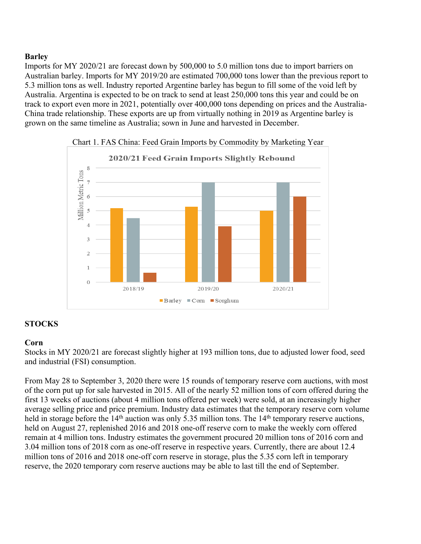# **Barley**

Imports for MY 2020/21 are forecast down by 500,000 to 5.0 million tons due to import barriers on Australian barley. Imports for MY 2019/20 are estimated 700,000 tons lower than the previous report to 5.3 million tons as well. Industry reported Argentine barley has begun to fill some of the void left by Australia. Argentina is expected to be on track to send at least 250,000 tons this year and could be on track to export even more in 2021, potentially over 400,000 tons depending on prices and the Australia-China trade relationship. These exports are up from virtually nothing in 2019 as Argentine barley is grown on the same timeline as Australia; sown in June and harvested in December.





# **STOCKS**

### **Corn**

Stocks in MY 2020/21 are forecast slightly higher at 193 million tons, due to adjusted lower food, seed and industrial (FSI) consumption.

From May 28 to September 3, 2020 there were 15 rounds of temporary reserve corn auctions, with most of the corn put up for sale harvested in 2015. All of the nearly 52 million tons of corn offered during the first 13 weeks of auctions (about 4 million tons offered per week) were sold, at an increasingly higher average selling price and price premium. Industry data estimates that the temporary reserve corn volume held in storage before the 14<sup>th</sup> auction was only 5.35 million tons. The 14<sup>th</sup> temporary reserve auctions, held on August 27, replenished 2016 and 2018 one-off reserve corn to make the weekly corn offered remain at 4 million tons. Industry estimates the government procured 20 million tons of 2016 corn and 3.04 million tons of 2018 corn as one-off reserve in respective years. Currently, there are about 12.4 million tons of 2016 and 2018 one-off corn reserve in storage, plus the 5.35 corn left in temporary reserve, the 2020 temporary corn reserve auctions may be able to last till the end of September.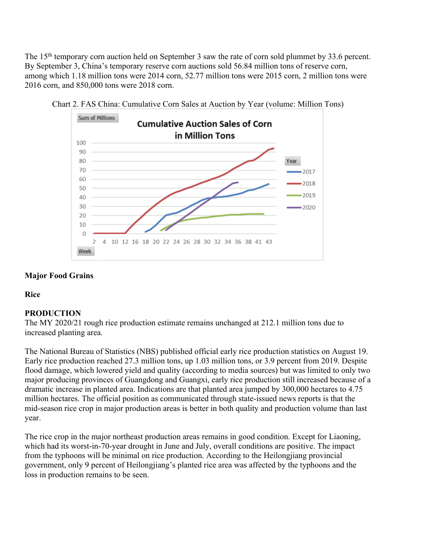The 15<sup>th</sup> temporary corn auction held on September 3 saw the rate of corn sold plummet by 33.6 percent. By September 3, China's temporary reserve corn auctions sold 56.84 million tons of reserve corn, among which 1.18 million tons were 2014 corn, 52.77 million tons were 2015 corn, 2 million tons were 2016 corn, and 850,000 tons were 2018 corn.





# **Major Food Grains**

### **Rice**

### **PRODUCTION**

The MY 2020/21 rough rice production estimate remains unchanged at 212.1 million tons due to increased planting area.

The National Bureau of Statistics (NBS) published official early rice production statistics on August 19. Early rice production reached 27.3 million tons, up 1.03 million tons, or 3.9 percent from 2019. Despite flood damage, which lowered yield and quality (according to media sources) but was limited to only two major producing provinces of Guangdong and Guangxi, early rice production still increased because of a dramatic increase in planted area. Indications are that planted area jumped by 300,000 hectares to 4.75 million hectares. The official position as communicated through state-issued news reports is that the mid-season rice crop in major production areas is better in both quality and production volume than last year.

The rice crop in the major northeast production areas remains in good condition. Except for Liaoning, which had its worst-in-70-year drought in June and July, overall conditions are positive. The impact from the typhoons will be minimal on rice production. According to the Heilongjiang provincial government, only 9 percent of Heilongjiang's planted rice area was affected by the typhoons and the loss in production remains to be seen.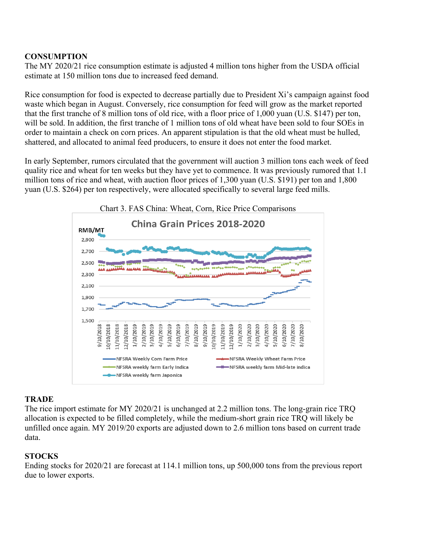# **CONSUMPTION**

The MY 2020/21 rice consumption estimate is adjusted 4 million tons higher from the USDA official estimate at 150 million tons due to increased feed demand.

Rice consumption for food is expected to decrease partially due to President Xi's campaign against food waste which began in August. Conversely, rice consumption for feed will grow as the market reported that the first tranche of 8 million tons of old rice, with a floor price of 1,000 yuan (U.S. \$147) per ton, will be sold. In addition, the first tranche of 1 million tons of old wheat have been sold to four SOEs in order to maintain a check on corn prices. An apparent stipulation is that the old wheat must be hulled, shattered, and allocated to animal feed producers, to ensure it does not enter the food market.

In early September, rumors circulated that the government will auction 3 million tons each week of feed quality rice and wheat for ten weeks but they have yet to commence. It was previously rumored that 1.1 million tons of rice and wheat, with auction floor prices of 1,300 yuan (U.S. \$191) per ton and 1,800 yuan (U.S. \$264) per ton respectively, were allocated specifically to several large feed mills.



#### **TRADE**

The rice import estimate for MY 2020/21 is unchanged at 2.2 million tons. The long-grain rice TRQ allocation is expected to be filled completely, while the medium-short grain rice TRQ will likely be unfilled once again. MY 2019/20 exports are adjusted down to 2.6 million tons based on current trade data.

# **STOCKS**

Ending stocks for 2020/21 are forecast at 114.1 million tons, up 500,000 tons from the previous report due to lower exports.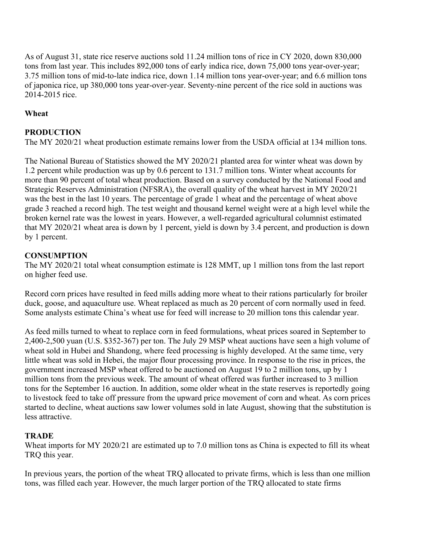As of August 31, state rice reserve auctions sold 11.24 million tons of rice in CY 2020, down 830,000 tons from last year. This includes 892,000 tons of early indica rice, down 75,000 tons year-over-year; 3.75 million tons of mid-to-late indica rice, down 1.14 million tons year-over-year; and 6.6 million tons of japonica rice, up 380,000 tons year-over-year. Seventy-nine percent of the rice sold in auctions was 2014-2015 rice.

# **Wheat**

# **PRODUCTION**

The MY 2020/21 wheat production estimate remains lower from the USDA official at 134 million tons.

The National Bureau of Statistics showed the MY 2020/21 planted area for winter wheat was down by 1.2 percent while production was up by 0.6 percent to 131.7 million tons. Winter wheat accounts for more than 90 percent of total wheat production. Based on a survey conducted by the National Food and Strategic Reserves Administration (NFSRA), the overall quality of the wheat harvest in MY 2020/21 was the best in the last 10 years. The percentage of grade 1 wheat and the percentage of wheat above grade 3 reached a record high. The test weight and thousand kernel weight were at a high level while the broken kernel rate was the lowest in years. However, a well-regarded agricultural columnist estimated that MY 2020/21 wheat area is down by 1 percent, yield is down by 3.4 percent, and production is down by 1 percent.

### **CONSUMPTION**

The MY 2020/21 total wheat consumption estimate is 128 MMT, up 1 million tons from the last report on higher feed use.

Record corn prices have resulted in feed mills adding more wheat to their rations particularly for broiler duck, goose, and aquaculture use. Wheat replaced as much as 20 percent of corn normally used in feed. Some analysts estimate China's wheat use for feed will increase to 20 million tons this calendar year.

As feed mills turned to wheat to replace corn in feed formulations, wheat prices soared in September to 2,400-2,500 yuan (U.S. \$352-367) per ton. The July 29 MSP wheat auctions have seen a high volume of wheat sold in Hubei and Shandong, where feed processing is highly developed. At the same time, very little wheat was sold in Hebei, the major flour processing province. In response to the rise in prices, the government increased MSP wheat offered to be auctioned on August 19 to 2 million tons, up by 1 million tons from the previous week. The amount of wheat offered was further increased to 3 million tons for the September 16 auction. In addition, some older wheat in the state reserves is reportedly going to livestock feed to take off pressure from the upward price movement of corn and wheat. As corn prices started to decline, wheat auctions saw lower volumes sold in late August, showing that the substitution is less attractive.

### **TRADE**

Wheat imports for MY 2020/21 are estimated up to 7.0 million tons as China is expected to fill its wheat TRQ this year.

In previous years, the portion of the wheat TRQ allocated to private firms, which is less than one million tons, was filled each year. However, the much larger portion of the TRQ allocated to state firms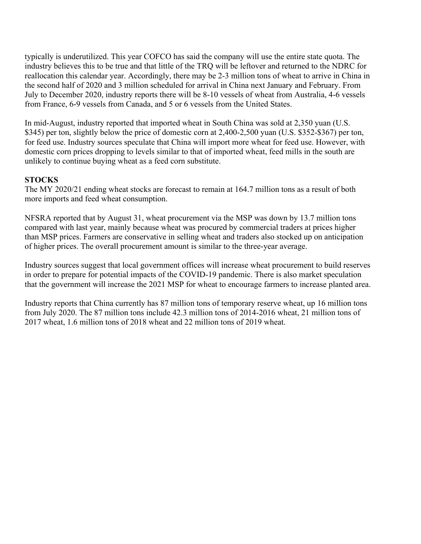typically is underutilized. This year COFCO has said the company will use the entire state quota. The industry believes this to be true and that little of the TRQ will be leftover and returned to the NDRC for reallocation this calendar year. Accordingly, there may be 2-3 million tons of wheat to arrive in China in the second half of 2020 and 3 million scheduled for arrival in China next January and February. From July to December 2020, industry reports there will be 8-10 vessels of wheat from Australia, 4-6 vessels from France, 6-9 vessels from Canada, and 5 or 6 vessels from the United States.

In mid-August, industry reported that imported wheat in South China was sold at 2,350 yuan (U.S. \$345) per ton, slightly below the price of domestic corn at 2,400-2,500 yuan (U.S. \$352-\$367) per ton, for feed use. Industry sources speculate that China will import more wheat for feed use. However, with domestic corn prices dropping to levels similar to that of imported wheat, feed mills in the south are unlikely to continue buying wheat as a feed corn substitute.

#### **STOCKS**

The MY 2020/21 ending wheat stocks are forecast to remain at 164.7 million tons as a result of both more imports and feed wheat consumption.

NFSRA reported that by August 31, wheat procurement via the MSP was down by 13.7 million tons compared with last year, mainly because wheat was procured by commercial traders at prices higher than MSP prices. Farmers are conservative in selling wheat and traders also stocked up on anticipation of higher prices. The overall procurement amount is similar to the three-year average.

Industry sources suggest that local government offices will increase wheat procurement to build reserves in order to prepare for potential impacts of the COVID-19 pandemic. There is also market speculation that the government will increase the 2021 MSP for wheat to encourage farmers to increase planted area.

Industry reports that China currently has 87 million tons of temporary reserve wheat, up 16 million tons from July 2020. The 87 million tons include 42.3 million tons of 2014-2016 wheat, 21 million tons of 2017 wheat, 1.6 million tons of 2018 wheat and 22 million tons of 2019 wheat.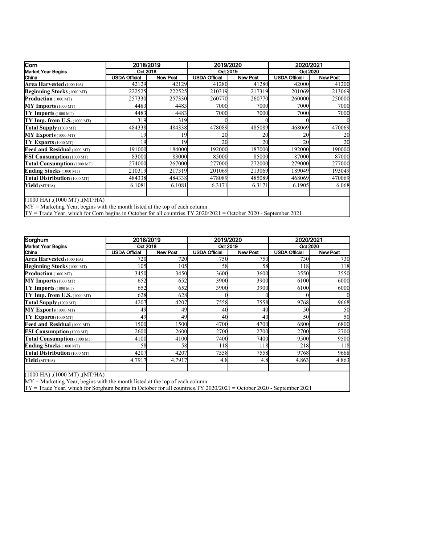| Corn                                                                                                                      |                      | 2018/2019       |                      | 2019/2020       |                      | 2020/2021       |  |  |
|---------------------------------------------------------------------------------------------------------------------------|----------------------|-----------------|----------------------|-----------------|----------------------|-----------------|--|--|
| Market Year Begins                                                                                                        | Oct 2018             |                 | Oct 2019             |                 |                      | Oct 2020        |  |  |
| China                                                                                                                     | <b>USDA Official</b> | <b>New Post</b> | <b>USDA Official</b> | <b>New Post</b> | <b>USDA Official</b> | <b>New Post</b> |  |  |
| Area Harvested (1000 HA)                                                                                                  | 42129                | 42129           | 41280                | 41280           | 42000                | 41200           |  |  |
| <b>Beginning Stocks</b> (1000 MT)                                                                                         | 222525               | 222525          | 210319               | 217319          | 201069               | 213069          |  |  |
| Production (1000 MT)                                                                                                      | 257330               | 257330          | 260770               | 260770          | 260000               | 250000          |  |  |
| $MY$ Imports (1000 MT)                                                                                                    | 4483                 | 4483            | 7000                 | 7000            | 7000                 | 7000            |  |  |
| $TY$ Imports (1000 MT)                                                                                                    | 4483                 | 4483            | 7000                 | 7000            | 7000                 | 7000            |  |  |
| $TY$ Imp. from U.S. (1000 MT)                                                                                             | 319                  | 319             |                      |                 |                      |                 |  |  |
| Total Supply (1000 MT)                                                                                                    | 484338               | 484338          | 478089               | 485089          | 468069               | 470069          |  |  |
| MY Exports (1000 MT)                                                                                                      | 19                   | 19              | 20                   | 20              | 20                   | 20              |  |  |
| $TY$ Exports (1000 MT)                                                                                                    | 19                   | 19              | 20                   | 20              | 20                   | 20              |  |  |
| Feed and Residual (1000 MT)                                                                                               | 191000               | 184000          | 192000               | 187000          | 192000               | 190000          |  |  |
| <b>FSI Consumption</b> (1000 MT)                                                                                          | 83000                | 83000           | 85000                | 85000           | 87000                | 87000           |  |  |
| Total Consumption (1000 MT)                                                                                               | 274000               | 267000          | 277000               | 272000          | 279000               | 277000          |  |  |
| Ending Stocks (1000 MT)                                                                                                   | 210319               | 217319          | 201069               | 213069          | 189049               | 193049          |  |  |
| Total Distribution (1000 MT)                                                                                              | 484338               | 484338          | 478089               | 485089          | 468069               | 470069          |  |  |
| Yield (MT/HA)                                                                                                             | 6.1081               | 6.1081          | 6.3171               | 6.3171          | 6.1905               | 6.068           |  |  |
|                                                                                                                           |                      |                 |                      |                 |                      |                 |  |  |
| $(1000$ HA), $(1000$ MT), $(MT/HA)$                                                                                       |                      |                 |                      |                 |                      |                 |  |  |
| $MY =$ Marketing Year, begins with the month listed at the top of each column                                             |                      |                 |                      |                 |                      |                 |  |  |
| $\Gamma$ Y = Trade Year, which for Corn begins in October for all countries. TY 2020/2021 = October 2020 - September 2021 |                      |                 |                      |                 |                      |                 |  |  |

TY = Trade Year, which for Corn begins in October for all countries.TY 2020/2021 = October 2020 - September 2021

| Sorghum                                                                                                                   | 2018/2019<br>Oct 2018 |                 | 2019/2020<br>Oct 2019 |                 | 2020/2021<br>Oct 2020 |                 |
|---------------------------------------------------------------------------------------------------------------------------|-----------------------|-----------------|-----------------------|-----------------|-----------------------|-----------------|
| Market Year Begins                                                                                                        |                       |                 |                       |                 |                       |                 |
| China                                                                                                                     | <b>USDA Official</b>  | <b>New Post</b> | <b>USDA Official</b>  | <b>New Post</b> | <b>USDA Official</b>  | <b>New Post</b> |
| Area Harvested (1000 HA)                                                                                                  | 720                   | 720             | <b>750</b>            | 750             | 730                   | 730             |
| <b>Beginning Stocks</b> (1000 MT)                                                                                         | 105                   | 105             | 58                    | 58              | 118                   | 118             |
| Production (1000 MT)                                                                                                      | 3450                  | 3450            | 3600                  | 3600            | 3550                  | 3550            |
| $MY$ Imports (1000 MT)                                                                                                    | 652                   | 652             | 3900                  | 3900            | 6100                  | 6000            |
| $TY$ Imports (1000 MT)                                                                                                    | 652                   | 652             | 3900                  | 3900            | 6100                  | 6000            |
| $TY$ Imp. from U.S. (1000 MT)                                                                                             | 628                   | 628             |                       |                 |                       |                 |
| Total Supply (1000 MT)                                                                                                    | 4207                  | 4207            | 7558                  | 7558            | 9768                  | 9668            |
| $MY$ Exports (1000 MT)                                                                                                    | 49                    | 49              | 40                    | 40              | 50                    | 50              |
| $TY$ Exports (1000 MT)                                                                                                    | 49                    | 49              | 40                    | 40              | 50                    | 50              |
| Feed and Residual (1000 MT)                                                                                               | 1500                  | 1500            | 4700                  | 4700            | 6800                  | 6800            |
| <b>FSI Consumption</b> (1000 MT)                                                                                          | 2600                  | 2600            | 2700                  | 2700            | 2700                  | 2700            |
| Total Consumption (1000 MT)                                                                                               | 4100                  | 4100            | 7400                  | 7400            | 9500                  | 9500            |
| Ending Stocks (1000 MT)                                                                                                   | 58                    | 58              | 118                   | 118             | 218                   | 118             |
| Total Distribution (1000 MT)                                                                                              | 4207                  | 4207            | 7558                  | 7558            | 9768                  | 9668            |
| Yield (MT/HA)                                                                                                             | 4.7917                | 4.7917          | 4.8                   | 4.8             | 4.863                 | 4.863           |
| $(1000$ HA), $(1000$ MT), $(MT/HA)$<br>$MV = M$ orienting $V_{20}$ begins with the month listed at the top of sook solumn |                       |                 |                       |                 |                       |                 |

MY = Marketing Year, begins with the month listed at the top of each column

TY = Trade Year, which for Sorghum begins in October for all countries.TY 2020/2021 = October 2020 - September 2021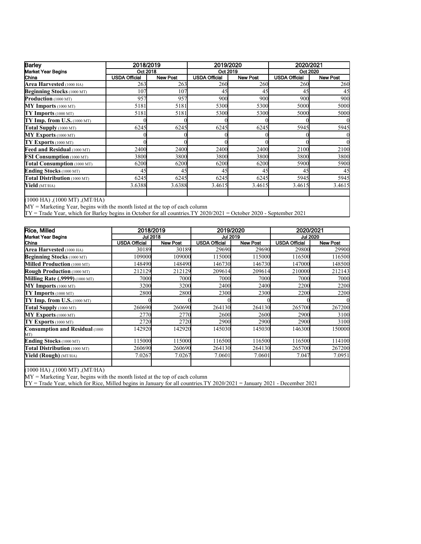| <b>Barley</b>                       | 2018/2019            |                 | 2019/2020            |                 | 2020/2021            |                 |  |
|-------------------------------------|----------------------|-----------------|----------------------|-----------------|----------------------|-----------------|--|
| <b>Market Year Begins</b>           |                      | Oct 2018        |                      | Oct 2019        |                      | Oct 2020        |  |
| China                               | <b>USDA Official</b> | <b>New Post</b> | <b>USDA Official</b> | <b>New Post</b> | <b>USDA Official</b> | <b>New Post</b> |  |
| Area Harvested (1000 HA)            | 263                  | 263             | 260                  | 260             | 260                  | 260             |  |
| <b>Beginning Stocks</b> (1000 MT)   | 107                  | 107             | 45                   | 45              | 45                   | 45              |  |
| <b>Production</b> (1000 MT)         | 957                  | 957             | 900                  | 900             | 900                  | 900             |  |
| $MY$ Imports (1000 MT)              | 5181                 | 5181            | 5300                 | 5300            | 5000                 | 5000            |  |
| $TY$ Imports (1000 MT)              | 5181                 | 5181            | 5300                 | 5300            | 5000                 | 5000            |  |
| TY Imp. from U.S. (1000 MT)         |                      |                 |                      |                 |                      |                 |  |
| Total Supply (1000 MT)              | 6245                 | 6245            | 6245                 | 6245            | 5945                 | 5945            |  |
| $MY$ Exports (1000 MT)              |                      |                 |                      |                 |                      |                 |  |
| TY Exports (1000 MT)                |                      |                 |                      |                 |                      |                 |  |
| Feed and Residual (1000 MT)         | 2400                 | 2400            | 2400                 | 2400            | 2100                 | 2100            |  |
| <b>FSI Consumption</b> (1000 MT)    | 3800                 | 3800            | 3800                 | 3800            | 3800                 | 3800            |  |
| Total Consumption (1000 MT)         | 6200                 | 6200            | 6200                 | 6200            | 5900                 | 5900            |  |
| Ending Stocks (1000 MT)             | 45                   | 45              | 45                   | 45              | 45                   | 45              |  |
| Total Distribution (1000 MT)        | 6245                 | 6245            | 6245                 | 6245            | 5945                 | 5945            |  |
| Yield (MT/HA)                       | 3.6388               | 3.6388          | 3.4615               | 3.4615          | 3.4615               | 3.4615          |  |
| $(1000$ HA), $(1000$ MT), $(MT/HA)$ |                      |                 |                      |                 |                      |                 |  |

MY = Marketing Year, begins with the month listed at the top of each column

TY = Trade Year, which for Barley begins in October for all countries.TY 2020/2021 = October 2020 - September 2021

| Rice, Milled                                       | 2018/2019            |                 | 2019/2020            |                 | 2020/2021            |                 |
|----------------------------------------------------|----------------------|-----------------|----------------------|-----------------|----------------------|-----------------|
| <b>Market Year Begins</b>                          | <b>Jul 2018</b>      |                 | <b>Jul 2019</b>      |                 | <b>Jul 2020</b>      |                 |
| China                                              | <b>USDA Official</b> | <b>New Post</b> | <b>USDA Official</b> | <b>New Post</b> | <b>USDA Official</b> | <b>New Post</b> |
| Area Harvested (1000 HA)                           | 30189                | 30189           | 29690                | 29690           | 29800                | 29900           |
| <b>Beginning Stocks</b> (1000 MT)                  | 109000               | 109000          | 115000               | 115000          | 116500               | 116500          |
| Milled Production (1000 MT)                        | 148490               | 148490          | 146730               | 146730          | 147000               | 148500          |
| <b>Rough Production</b> (1000 MT)                  | 212129               | 212129          | 209614               | 209614          | 210000               | 212143          |
| <b>Milling Rate (.9999)</b> (1000 MT)              | 7000                 | 7000            | 7000                 | 7000            | 7000                 | 7000            |
| $MY$ Imports (1000 MT)                             | 3200                 | 3200            | 2400                 | 2400            | 2200                 | 2200            |
| $TY$ Imports (1000 MT)                             | 2800                 | 2800            | 2300                 | 2300            | 2200                 | 2200            |
| $TY$ Imp. from U.S. (1000 MT)                      |                      |                 |                      |                 |                      |                 |
| Total Supply (1000 MT)                             | 260690               | 260690          | 264130               | 264130          | 265700               | 267200          |
| MY Exports (1000 MT)                               | 2770                 | 2770            | 2600                 | 2600            | 2900                 | 3100            |
| TY Exports (1000 MT)                               | 2720                 | 2720            | 2900                 | 2900            | 2900                 | 3100            |
| <b>Consumption and Residual (1000)</b><br>MT)      | 142920               | 142920          | 145030               | 145030          | 146300               | 150000          |
| Ending Stocks (1000 MT)                            | 115000               | 115000          | 116500               | 116500          | 116500               | 114100          |
| Total Distribution (1000 MT)                       | 260690               | 260690          | 264130               | 264130          | 265700               | 267200          |
| Yield (Rough) (MT/HA)                              | 7.0267               | 7.0267          | 7.0601               | 7.0601          | 7.047                | 7.0951          |
| $(1000 \text{ H A})$ $(1000 \text{ MT})$ $(MT/HA)$ |                      |                 |                      |                 |                      |                 |

(1000 HA) ,(1000 MT) ,(MT/HA)

MY = Marketing Year, begins with the month listed at the top of each column

TY = Trade Year, which for Rice, Milled begins in January for all countries.TY 2020/2021 = January 2021 - December 2021